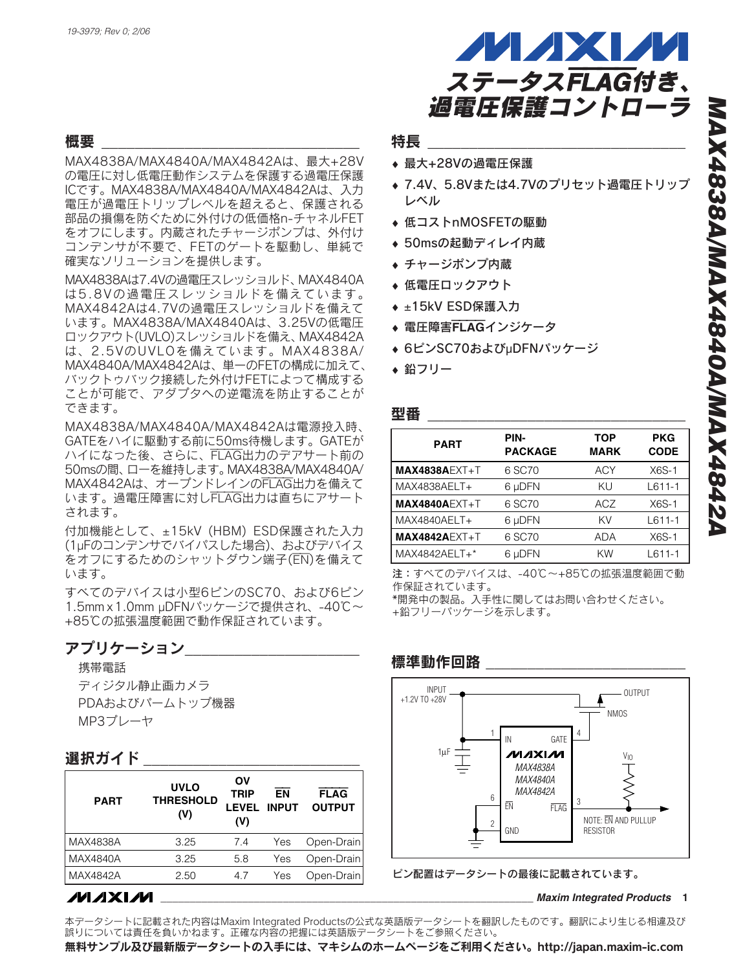#### 概要

MAX4838A/MAX4840A/MAX4842Aは、最大+28V の電圧に対し低電圧動作システムを保護する過電圧保護 ICです。MAX4838A/MAX4840A/MAX4842Aは、入力 電圧が過電圧トリップレベルを超えると、保護される 部品の損傷を防ぐために外付けの低価格n-チャネルFET をオフにします。内蔵されたチャージポンプは、外付け コンデンサが不要で、FETのゲートを駆動し、単純で 確実なソリューションを提供します。

MAX4838Aは7.4Vの過電圧スレッショルド、MAX4840A は5.8Vの過電圧スレッショルドを備えています。 MAX4842Aは4.7Vの過電圧スレッショルドを備えて います。MAX4838A/MAX4840Aは、3.25Vの低電圧 ロックアウト(UVLO)スレッショルドを備え、MAX4842A は、2.5VのUVLOを備えています。MAX4838A/ MAX4840A/MAX4842Aは、単一のFETの構成に加えて、 バックトゥバック接続した外付けFETによって構成する ことが可能で、アダプタへの逆電流を防止することが できます。

MAX4838A/MAX4840A/MAX4842Aは電源投入時、 GATEをハイに駆動する前に50ms待機します。GATEが ハイになった後、さらに、FLAG出力のデアサート前の 50msの間、ローを維持します。MAX4838A/MAX4840A/ MAX4842Aは、オープンドレインのFLAG出力を備えて います。過電圧障害に対しFLAG出力は直ちにアサート されます。

付加機能として、±15kV (HBM) ESD保護された入力 (1µFのコンデンサでバイパスした場合)、およびデバイス をオフにするためのシャットダウン端子(EN)を備えて います。

すべてのデバイスは小型6ピンのSC70、および6ピン 1.5mm x 1.0mm µDFNパッケージで提供され、-40℃~ +85℃の拡張温度範囲で動作保証されています。

### アプリケーション

携帯電話

ディジタル静止画カメラ PDAおよびパームトップ機器 MP3プレーヤ

### 選択ガイド

| <b>PART</b>     | <b>UVLO</b><br><b>THRESHOLD</b><br>(V) | ΟV<br><b>TRIP</b><br><b>LEVEL</b><br>(V) | FN<br><b>INPUT</b> | <b>FLAG</b><br><b>OUTPUT</b> |
|-----------------|----------------------------------------|------------------------------------------|--------------------|------------------------------|
| MAX4838A        | 3.25                                   | 7.4                                      | Yes                | Open-Drain                   |
| MAX4840A        | 3.25                                   | 5.8                                      | Yes                | Open-Drain                   |
| <b>MAX4842A</b> | 2.50                                   | 4.7                                      | Yes                | Open-Drain                   |

# **MAXM**



#### 特長

- ♦ 最大+28Vの過電圧保護
- ◆ 7.4V、5.8Vまたは4.7Vのプリセット過電圧トリップ レベル
- ◆ 低コストnMOSFETの駆動
- ◆ 50msの起動ディレイ内蔵
- ♦ チャージポンプ内蔵
- ◆ 低電圧ロックアウト
- ◆ ±15kV ESD保護入力
- ◆ 電圧障害FLAGインジケータ
- ♦ 6ピンSC70およびµDFNパッケージ
- ◆ 鉛フリー

| 型番              |                        |                           |                           |
|-----------------|------------------------|---------------------------|---------------------------|
| <b>PART</b>     | PIN-<br><b>PACKAGE</b> | <b>TOP</b><br><b>MARK</b> | <b>PKG</b><br><b>CODE</b> |
| $MAX4838AEXT+T$ | 6 SC70                 | ACY                       | $X6S-1$                   |
| MAX4838AELT+    | 6 µDFN                 | KU                        | $L611-1$                  |
| $MAX4840AEXT+T$ | 6 SC70                 | ACZ                       | $X6S-1$                   |
| MAX4840AELT+    | 6 µDFN                 | KV                        | $L611-1$                  |
| $MAX4842AEXT+T$ | 6 SC70                 | <b>ADA</b>                | $X6S-1$                   |
| MAX4842AELT+*   | 6 µDFN                 | KW                        | $L611-1$                  |

注:すべてのデバイスは、-40℃~+85℃の拡張温度範囲で動 作保証されています。

\*開発中の製品。入手性に関してはお問い合わせください。 +鉛フリーパッケージを示します。

#### *MAX4838A MAX4840A MAX4842A* INPUT +1.2V TO +28V IN EN GATE FLAG GND 1 6 4 2 3 OUTPUT  $V_{\text{I}}$   $\rightarrow$   $V_{\text{II}}$   $\rightarrow$   $V_{\text{II}}$ NOTE: EN AND PULLUP RESISTOR NMOS

ピン配置はデータシートの最後に記載されています。

#### **\_\_\_\_\_\_\_\_\_\_\_\_\_\_\_\_\_\_\_\_\_\_\_\_\_\_\_\_\_\_\_\_\_\_\_\_\_\_\_\_\_\_\_\_\_\_\_\_\_\_\_\_\_\_\_\_\_\_\_\_\_\_\_\_** *Maxim Integrated Products* **1**

本データシートに記載された内容はMaxim Integrated Productsの公式な英語版データシートを翻訳したものです。翻訳により生じる相違及び 誤りについては責任を負いかねます。正確な内容の把握には英語版データシートをご参照ください。

無料サンプル及び最新版データシートの入手には、マキシムのホームページをご利用ください。http://japan.maxim-ic.com

# 標準動作回路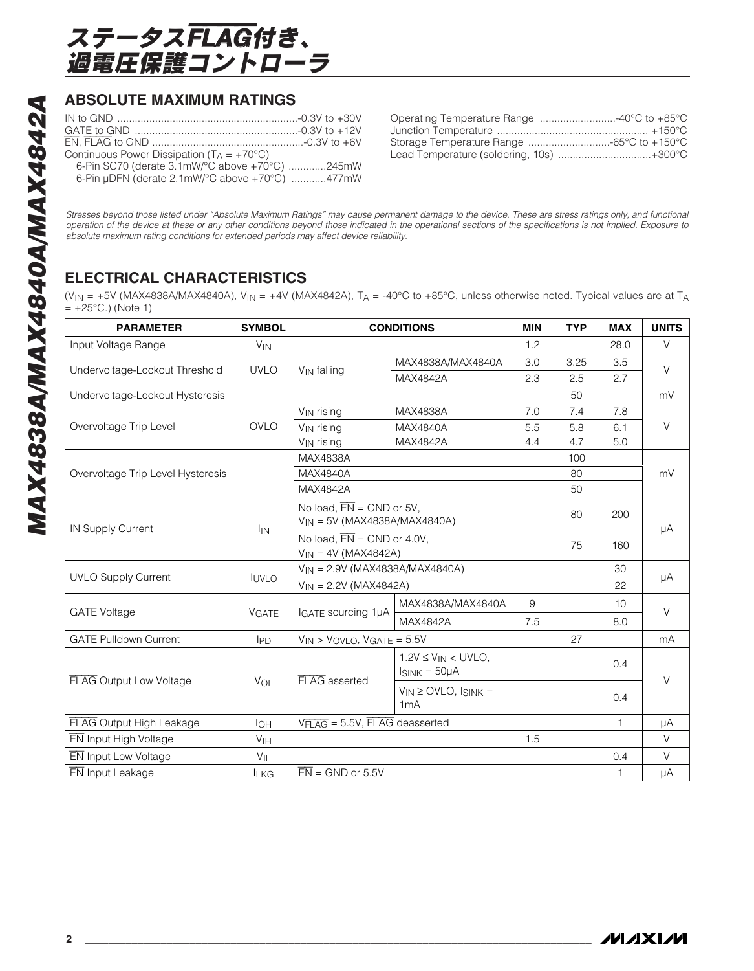

## **ABSOLUTE MAXIMUM RATINGS**

| Continuous Power Dissipation $(T_A = +70^{\circ}C)$ |  |
|-----------------------------------------------------|--|
| 6-Pin SC70 (derate 3.1mW/°C above +70°C) 245mW      |  |
| 6-Pin µDFN (derate 2.1mW/°C above +70°C) 477mW      |  |

| Operating Temperature Range  40°C to +85°C |
|--------------------------------------------|
|                                            |
|                                            |
| Lead Temperature (soldering, 10s) +300°C   |

*Stresses beyond those listed under "Absolute Maximum Ratings" may cause permanent damage to the device. These are stress ratings only, and functional operation of the device at these or any other conditions beyond those indicated in the operational sections of the specifications is not implied. Exposure to absolute maximum rating conditions for extended periods may affect device reliability.*

# **ELECTRICAL CHARACTERISTICS**

(V<sub>IN</sub> = +5V (MAX4838A/MAX4840A), V<sub>IN</sub> = +4V (MAX4842A), T<sub>A</sub> = -40°C to +85°C, unless otherwise noted. Typical values are at T<sub>A</sub>  $= +25^{\circ}C.$ ) (Note 1)

| <b>PARAMETER</b>                  | <b>SYMBOL</b>         | <b>CONDITIONS</b>                                                          |                                                   | <b>MIN</b> | <b>TYP</b> | <b>MAX</b>      | <b>UNITS</b> |  |
|-----------------------------------|-----------------------|----------------------------------------------------------------------------|---------------------------------------------------|------------|------------|-----------------|--------------|--|
| Input Voltage Range               | $V_{IN}$              |                                                                            |                                                   | 1.2        |            | 28.0            | V            |  |
|                                   | <b>UVLO</b>           |                                                                            | MAX4838A/MAX4840A                                 | 3.0        | 3.25       | 3.5             | $\vee$       |  |
| Undervoltage-Lockout Threshold    |                       | V <sub>IN</sub> falling                                                    | MAX4842A                                          | 2.3        | 2.5        | 2.7             |              |  |
| Undervoltage-Lockout Hysteresis   |                       |                                                                            |                                                   |            | 50         |                 | mV           |  |
|                                   |                       | V <sub>IN</sub> rising                                                     | MAX4838A                                          | 7.0        | 7.4        | 7.8             |              |  |
| Overvoltage Trip Level            | <b>OVLO</b>           | V <sub>IN</sub> rising                                                     | MAX4840A                                          | 5.5        | 5.8        | 6.1             | $\vee$       |  |
|                                   |                       | V <sub>IN</sub> rising                                                     | <b>MAX4842A</b>                                   | 4.4        | 4.7        | 5.0             |              |  |
|                                   |                       | MAX4838A                                                                   |                                                   |            | 100        |                 |              |  |
| Overvoltage Trip Level Hysteresis |                       | <b>MAX4840A</b>                                                            |                                                   |            | 80         |                 | mV           |  |
|                                   |                       | MAX4842A                                                                   |                                                   |            | 50         |                 |              |  |
|                                   |                       | No load, $\overline{EN}$ = GND or 5V,<br>$V_{IN}$ = 5V (MAX4838A/MAX4840A) |                                                   |            | 80         | 200             |              |  |
| IN Supply Current                 | <b>I<sub>IN</sub></b> | No load, $\overline{EN}$ = GND or 4.0V,                                    |                                                   |            |            |                 | μA           |  |
|                                   |                       | $V_{IN} = 4V (MAX4842A)$                                                   |                                                   |            | 75         | 160             |              |  |
|                                   |                       | $V_{IN} = 2.9V (MAX4838A/MAX4840A)$                                        |                                                   |            |            | 30              |              |  |
| <b>UVLO Supply Current</b>        | <b>IUVLO</b>          | $V_{IN} = 2.2V (MAX4842A)$                                                 |                                                   |            |            | 22              | μA           |  |
|                                   | <b>VGATE</b>          |                                                                            | MAX4838A/MAX4840A                                 | 9          |            | 10 <sup>1</sup> | $\vee$       |  |
| <b>GATE Voltage</b>               |                       | IGATE SOUrcing 1µA                                                         | MAX4842A                                          | 7.5        |            | 8.0             |              |  |
| <b>GATE Pulldown Current</b>      | $I_{PD}$              | $V_{IN}$ > $V_{OVLO}$ , $V_{GATE}$ = 5.5V                                  |                                                   |            | 27         |                 | mA           |  |
| FLAG Output Low Voltage           |                       | FLAG asserted                                                              | $1.2V \leq V_{IN} < UVLO$<br>$I_{SINK} = 50\mu A$ |            |            | 0.4             | $\vee$       |  |
|                                   | VOL                   |                                                                            | $V_{IN} \geq OVLO$ , $I_{SINK} =$<br>1mA          |            |            | 0.4             |              |  |
| FLAG Output High Leakage          | I <sub>OH</sub>       | $V_{\overline{FLAG}} = 5.5V$ , $\overline{FLAG}$ deasserted                |                                                   |            |            | 1               | μA           |  |
| EN Input High Voltage             | V <sub>IH</sub>       |                                                                            |                                                   | 1.5        |            |                 | $\vee$       |  |
| <b>EN</b> Input Low Voltage       | $V_{IL}$              |                                                                            |                                                   |            |            | 0.4             | V            |  |
| <b>EN</b> Input Leakage           | <b>ILKG</b>           | $\overline{EN}$ = GND or 5.5V                                              |                                                   |            |            | 1               | μA           |  |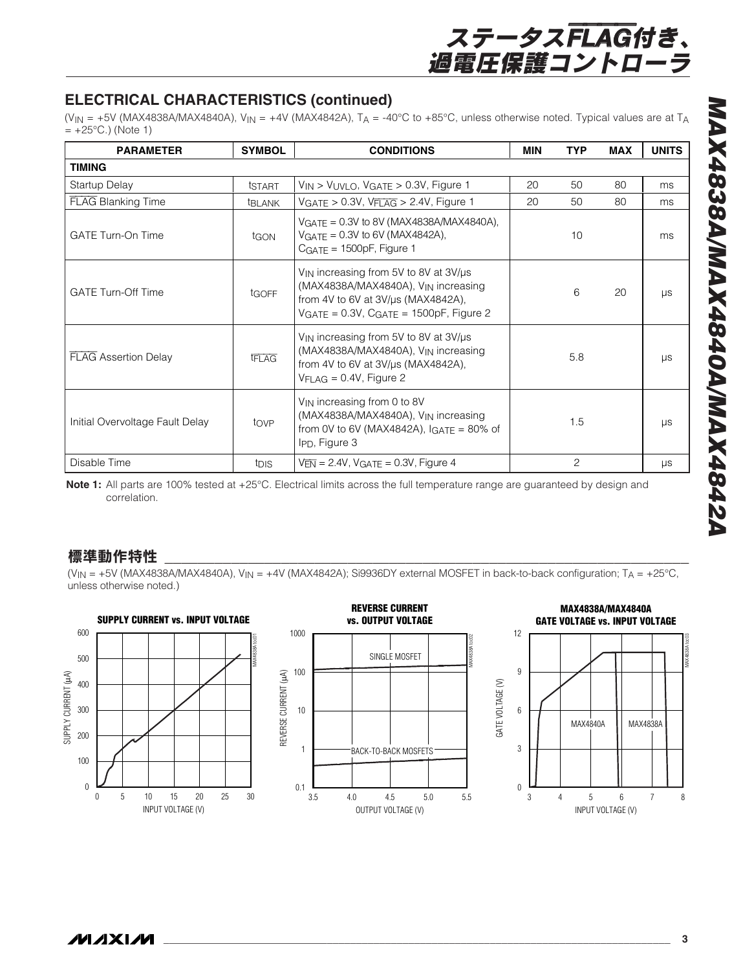# **ELECTRICAL CHARACTERISTICS (continued)**

(V<sub>IN</sub> = +5V (MAX4838A/MAX4840A), V<sub>IN</sub> = +4V (MAX4842A), T<sub>A</sub> = -40°C to +85°C, unless otherwise noted. Typical values are at T<sub>A</sub>  $= +25^{\circ}$ C.) (Note 1)

| <b>PARAMETER</b>                | <b>SYMBOL</b>    | <b>CONDITIONS</b>                                                                                                                                                                                 | MIN | <b>TYP</b>     | <b>MAX</b> | <b>UNITS</b> |
|---------------------------------|------------------|---------------------------------------------------------------------------------------------------------------------------------------------------------------------------------------------------|-----|----------------|------------|--------------|
| TIMING                          |                  |                                                                                                                                                                                                   |     |                |            |              |
| Startup Delay                   | tstart           | $V_{IN}$ > $V_{UVLO}$ , $V_{GATE}$ > 0.3V, Figure 1                                                                                                                                               | 20  | 50             | 80         | ms           |
| <b>FLAG Blanking Time</b>       | <b>TBLANK</b>    | $VGATE > 0.3V$ , $VFLAG > 2.4V$ , Figure 1                                                                                                                                                        | 20  | 50             | 80         | ms           |
| <b>GATE Turn-On Time</b>        | tgon             | $VGATF = 0.3V$ to 8V (MAX4838A/MAX4840A),<br>$V_{GATE} = 0.3V$ to 6V (MAX4842A),<br>$CGATE = 1500pF$ , Figure 1                                                                                   |     | 10             |            | ms           |
| <b>GATE Turn-Off Time</b>       | tGOFF            | $V_{IN}$ increasing from 5V to 8V at $3V/\mu s$<br>(MAX4838A/MAX4840A), V <sub>IN</sub> increasing<br>from 4V to 6V at 3V/µs (MAX4842A),<br>$VGATE = 0.3V$ , C <sub>GATE</sub> = 1500pF, Figure 2 |     | 6              | 20         | $\mu s$      |
| <b>FLAG Assertion Delay</b>     | <b>IFLAG</b>     | V <sub>IN</sub> increasing from 5V to 8V at 3V/us<br>(MAX4838A/MAX4840A), V <sub>IN</sub> increasing<br>from 4V to 6V at $3V/\mu s$ (MAX4842A),<br>$V_{\text{FLAG}} = 0.4V$ , Figure 2            |     | 5.8            |            | $\mu s$      |
| Initial Overvoltage Fault Delay | tove             | V <sub>IN</sub> increasing from 0 to 8V<br>(MAX4838A/MAX4840A), VIN increasing<br>from 0V to 6V (MAX4842A), $IGATE = 80\%$ of<br>I <sub>PD</sub> , Figure 3                                       |     | 1.5            |            | <b>LIS</b>   |
| Disable Time                    | t <sub>DIS</sub> | $V_{\overline{FN}}$ = 2.4V, $V_{\text{GATE}}$ = 0.3V, Figure 4                                                                                                                                    |     | $\overline{c}$ |            | μs           |

**Note 1:** All parts are 100% tested at +25°C. Electrical limits across the full temperature range are guaranteed by design and correlation.

### 標準動作特性

(V<sub>IN</sub> = +5V (MAX4838A/MAX4840A), V<sub>IN</sub> = +4V (MAX4842A); Si9936DY external MOSFET in back-to-back configuration; T<sub>A</sub> = +25°C, unless otherwise noted.)

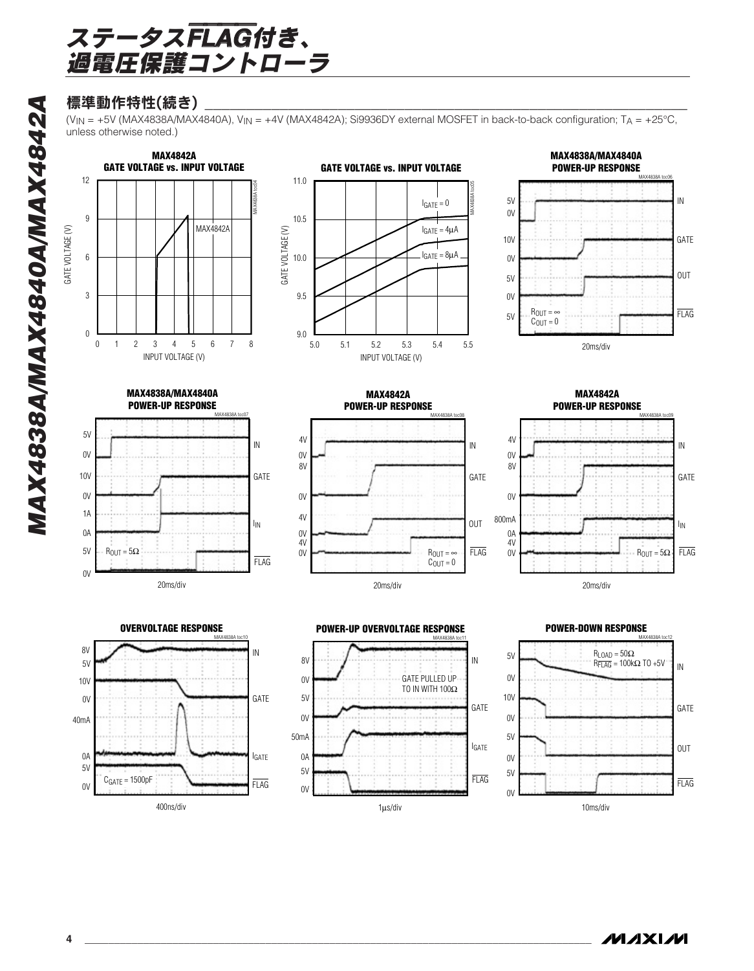# 標準動作特性(続き)

(V<sub>IN</sub> = +5V (MAX4838A/MAX4840A), V<sub>IN</sub> = +4V (MAX4842A); Si9936DY external MOSFET in back-to-back configuration; T<sub>A</sub> = +25°C, unless otherwise noted.)







**MAX4838A/MAX4840A POWER-UP RESPONSE**MAX4838A toc07 20ms/div 5V  $0V$  $0<sup>V</sup>$ 1A 0A 5V FLAG  $I_{IN}$ GATE IN 0V 10V  $R_{\text{OUT}} = 5\Omega$ 











**POWER-DOWN RESPONSE**

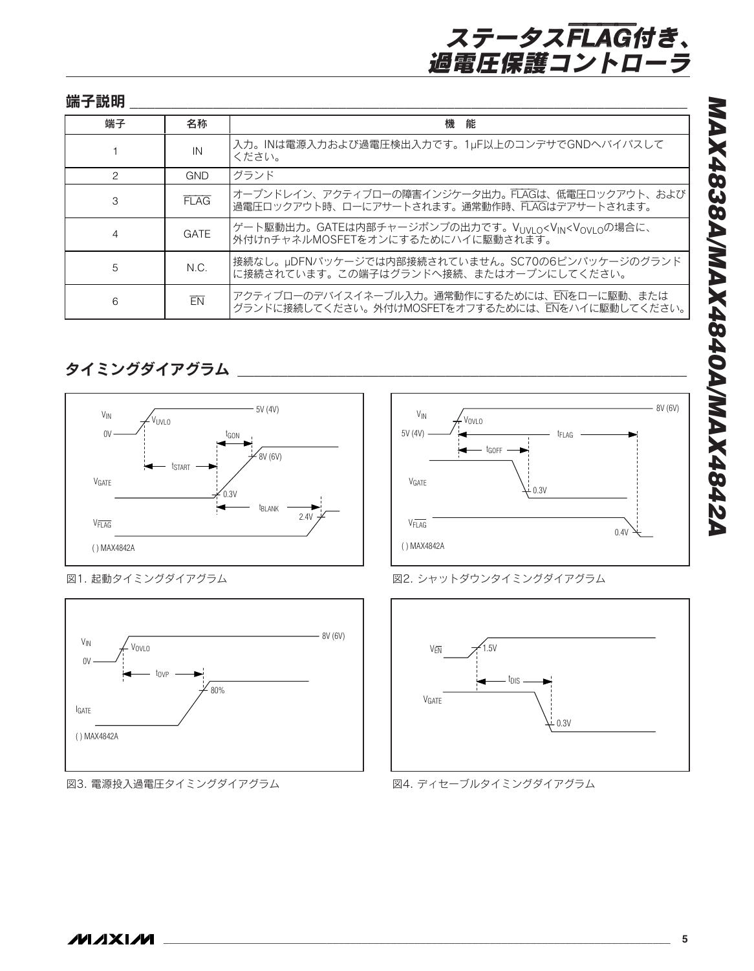| 端子説明          |             |                                                                                                            |
|---------------|-------------|------------------------------------------------------------------------------------------------------------|
| 端子            | 名称          | 能<br>機                                                                                                     |
|               | IN          | 入力。INは電源入力および過電圧検出入力です。1µF以上のコンデサでGNDへバイパスして<br>ください。                                                      |
| $\mathcal{P}$ | <b>GND</b>  | グランド                                                                                                       |
| 3             | FIAG        | オープンドレイン、アクティブローの障害インジケータ出力。FLAGは、低電圧ロックアウト、および<br> 過電圧ロックアウト時、ローにアサートされます。通常動作時、FLAGはデアサートされます。           |
| 4             | <b>GATE</b> | ゲート駆動出力。GATEは内部チャージポンプの出力です。VUVLO <vin<vovloの場合に、<br>外付けnチャネルMOSFETをオンにするためにハイに駆動されます。</vin<vovloの場合に、<br> |
| 5             | N.C.        | 接続なし。µDFNパッケージでは内部接続されていません。SC70の6ピンパッケージのグランド<br>に接続されています。この端子はグランドへ接続、またはオープンにしてください。                   |
| 6             | EN          | アクティブローのデバイスイネーブル入力。通常動作にするためには、ENをローに駆動、または<br>グランドに接続してください。外付けMOSFETをオフするためには、ENをハイに駆動してください。           |

タイミングダイアグラム \_\_\_\_\_\_\_\_\_\_\_\_\_\_\_\_\_\_\_\_\_\_\_\_\_\_\_\_\_\_\_\_\_\_\_\_\_\_\_\_\_\_\_\_\_\_\_\_\_\_\_\_\_\_







図3. 電源投入過電圧タイミングダイアグラム







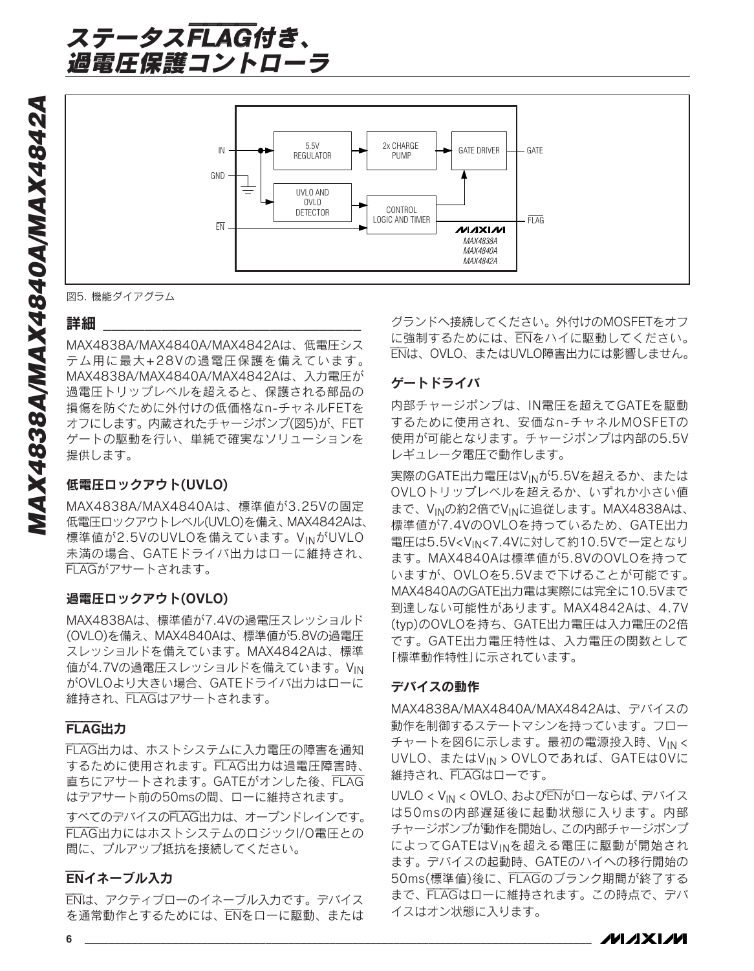

図5. 機能ダイアグラム

#### 詳細

MAX4838A/MAX4840A/MAX4842Aは、低電圧シス テム用に最大+28Vの過電圧保護を備えています。 MAX4838A/MAX4840A/MAX4842Aは、入力電圧が 過電圧トリップレベルを超えると、保護される部品の 損傷を防ぐために外付けの低価格なn-チャネルFETを オフにします。内蔵されたチャージポンプ(図5)が、FET ゲートの駆動を行い、単純で確実なソリューションを 提供します。

### 低電圧ロックアウト(UVLO)

MAX4838A/MAX4840Aは、標準値が3.25Vの固定 低電圧ロックアウトレベル(UVLO)を備え、MAX4842Aは、 標準値が2.5VのUVLOを備えています。VINがUVLO 未満の場合、GATEドライバ出力はローに維持され、 FLAGがアサートされます。

#### 過電圧ロックアウト(OVLO)

MAX4838Aは、標準値が7.4Vの過電圧スレッショルド (OVLO)を備え、MAX4840Aは、標準値が5.8Vの過電圧 スレッショルドを備えています。MAX4842Aは、標準 値が4.7Vの過電圧スレッショルドを備えています。VIN がOVLOより大きい場合、GATEドライバ出力はローに 維持され、FLAGはアサートされます。

#### FLAG出力

FLAG出力は、ホストシステムに入力電圧の障害を通知 するために使用されます。FLAG出力は過電圧障害時、 直ちにアサートされます。GATEがオンした後、FLAG はデアサート前の50msの間、ローに維持されます。

すべてのデバイスのFLAG出力は、オープンドレインです。 FLAG出力にはホストシステムのロジックI/O電圧との 間に、プルアップ抵抗を接続してください。

#### ENイネーブル入力

ENは、アクティブローのイネーブル入力です。デバイス を通常動作とするためには、ENをローに駆動、または

グランドへ接続してください。外付けのMOSFETをオフ に強制するためには、ENをハイに駆動してください。 ENは、OVLO、またはUVLO障害出力には影響しません。

#### ゲートドライバ

内部チャージポンプは、IN電圧を超えてGATEを駆動 するために使用され、安価なn-チャネルMOSFETの 使用が可能となります。チャージポンプは内部の5.5V レギュレータ電圧で動作します。

実際のGATE出力電圧はVINが5.5Vを超えるか、または OVLOトリップレベルを超えるか、いずれか小さい値 まで、VINの約2倍でVINに追従します。MAX4838Aは、 標準値が7.4VのOVLOを持っているため、GATE出力 電圧は5.5V<VIN<7.4Vに対して約10.5Vで一定となり ます。MAX4840Aは標準値が5.8VのOVLOを持って いますが、OVLOを5.5Vまで下げることが可能です。 MAX4840AのGATE出力電は実際には完全に10.5Vまで 到達しない可能性があります。MAX4842Aは、4.7V (typ)のOVLOを持ち、GATE出力電圧は入力電圧の2倍 です。GATE出力電圧特性は、入力電圧の関数として 「標準動作特性」に示されています。

#### デバイスの動作

MAX4838A/MAX4840A/MAX4842Aは、デバイスの 動作を制御するステートマシンを持っています。フロー チャートを図6に示します。最初の電源投入時、V<sub>IN</sub> < UVLO、またはVIN > OVLOであれば、GATEは0Vに 維持され、FLAGはローです。

UVLO < VIN < OVLO、およびENがローならば、デバイス は50msの内部遅延後に起動状態に入ります。内部 チャージポンプが動作を開始し、この内部チャージポンプ によってGATEはVINを超える電圧に駆動が開始され ます。デバイスの起動時、GATEのハイへの移行開始の 50ms(標準値)後に、FLAGのブランク期間が終了する まで、FLAGはローに維持されます。この時点で、デバ イスはオン状態に入ります。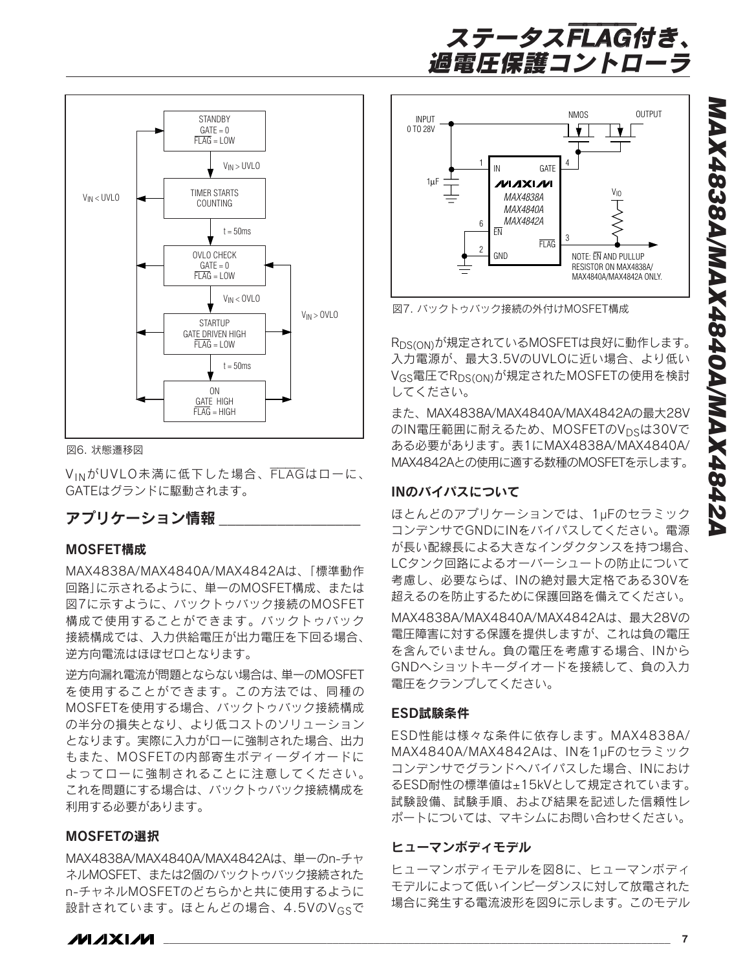



図6. 状態遷移図

VINがUVLO未満に低下した場合、FLAGはローに、 GATEはグランドに駆動されます。

### アプリケーション情報

#### MOSFET構成

MAX4838A/MAX4840A/MAX4842Aは、「標準動作 回路」に示されるように、単一のMOSFET構成、または 図7に示すように、バックトゥバック接続のMOSFET 構成で使用することができます。バックトゥバック 接続構成では、入力供給電圧が出力電圧を下回る場合、 逆方向電流はほぼゼロとなります。

逆方向漏れ電流が問題とならない場合は、単一のMOSFET を使用することができます。この方法では、同種の MOSFETを使用する場合、バックトゥバック接続構成 の半分の損失となり、より低コストのソリューション となります。実際に入力がローに強制された場合、出力 もまた、MOSFETの内部寄生ボディーダイオードに よってローに強制されることに注意してください。 これを問題にする場合は、バックトゥバック接続構成を 利用する必要があります。

#### MOSFETの選択

MAX4838A/MAX4840A/MAX4842Aは、単一のn-チャ ネルMOSFET、または2個のバックトゥバック接続された n-チャネルMOSFETのどちらかと共に使用するように 設計されています。ほとんどの場合、4.5VのV<sub>GS</sub>で



図7. バックトゥバック接続の外付けMOSFET構成

R<sub>DS(ON)</sub>が規定されているMOSFETは良好に動作します。 入力電源が、最大3.5VのUVLOに近い場合、より低い V<sub>GS</sub>電圧でR<sub>DS(ON)</sub>が規定されたMOSFETの使用を検討 してください。

また、MAX4838A/MAX4840A/MAX4842Aの最大28V のIN電圧範囲に耐えるため、MOSFETのV<sub>DS</sub>は30Vで ある必要があります。表1にMAX4838A/MAX4840A/ MAX4842Aとの使用に適する数種のMOSFETを示します。

#### INのバイパスについて

ほとんどのアプリケーションでは、1 µFのセラミック コンデンサでGNDにINをバイパスしてください。電源 が長い配線長による大きなインダクタンスを持つ場合、 LCタンク回路によるオーバーシュートの防止について 考慮し、必要ならば、INの絶対最大定格である30Vを 超えるのを防止するために保護回路を備えてください。 MAX4838A/MAX4840A/MAX4842Aは、最大28Vの 電圧障害に対する保護を提供しますが、これは負の電圧 を含んでいません。負の電圧を考慮する場合、INから GNDへショットキーダイオードを接続して、負の入力 電圧をクランプしてください。

#### ESD試験条件

ESD性能は様々な条件に依存します。MAX4838A/ MAX4840A/MAX4842Aは、INを1 µFのセラミック コンデンサでグランドへバイパスした場合、INにおけ るESD耐性の標準値は ±15kVとして規定されています。 試験設備、試験手順、および結果を記述した信頼性レ ポートについては、マキシムにお問い合わせください。

#### ヒューマンボディモデル

ヒューマンボディモデルを図8に、ヒューマンボディ モデルによって低いインピーダンスに対して放電された 場合に発生する電流波形を図9に示します。このモデル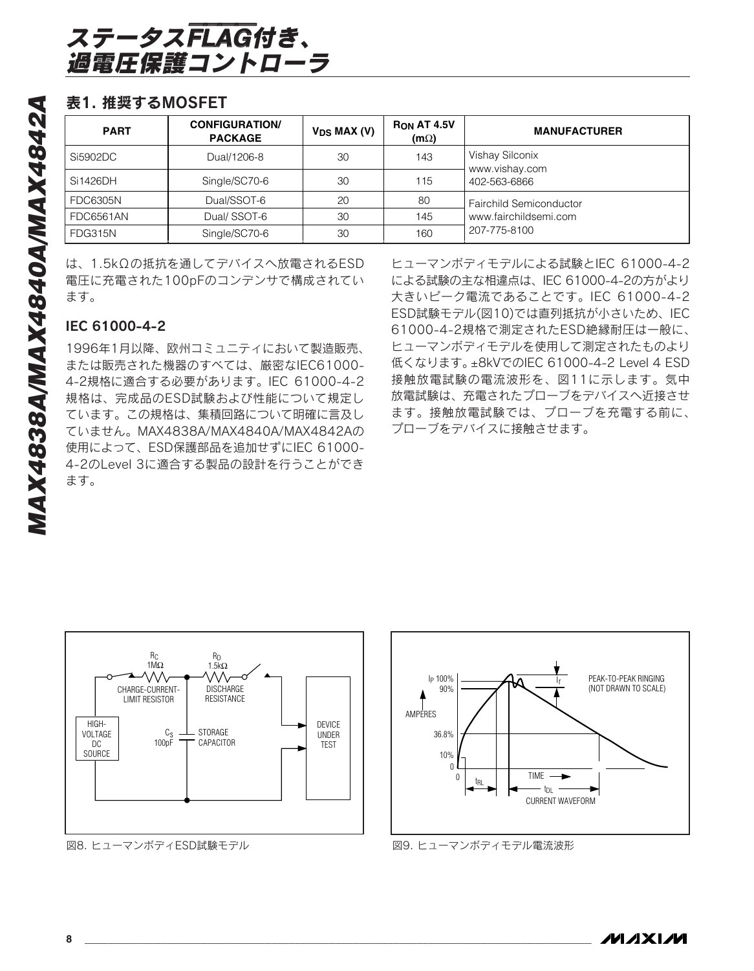# 表1. 推奨するMOSFET

| <b>PART</b>     | <b>CONFIGURATION/</b><br><b>PACKAGE</b> | $V_{DS}$ MAX (V) | <b>RON AT 4.5V</b><br>$(m\Omega)$ | <b>MANUFACTURER</b>               |
|-----------------|-----------------------------------------|------------------|-----------------------------------|-----------------------------------|
| Si5902DC        | Dual/1206-8                             | 30               | 143                               | Vishay Silconix<br>www.vishay.com |
| l Si1426DH      | Single/SC70-6                           | 30               | 115                               | 402-563-6866                      |
| <b>FDC6305N</b> | Dual/SSOT-6                             | 20               | 80                                | <b>Fairchild Semiconductor</b>    |
| FDC6561AN       | Dual/SSOT-6                             | 30               | 145                               | www.fairchildsemi.com             |
| FDG315N         | Single/SC70-6                           | 30               | 160                               | 207-775-8100                      |

は、1.5kΩの抵抗を通してデバイスへ放電されるESD 電圧に充電された100pFのコンデンサで構成されてい ます。

# IEC 61000-4-2

1996年1月以降、欧州コミュニティにおいて製造販売、 または販売された機器のすべては、厳密なIEC61000- 4-2規格に適合する必要があります。IEC 61000-4-2 規格は、完成品のESD試験および性能について規定し ています。この規格は、集積回路について明確に言及し ていません。MAX4838A/MAX4840A/MAX4842Aの 使用によって、ESD保護部品を追加せずにIEC 61000- 4-2のLevel 3に適合する製品の設計を行うことができ ます。

ヒューマンボディモデルによる試験とIEC 61000-4-2 による試験の主な相違点は、IEC 61000-4-2の方がより 大きいピーク電流であることです。IEC 61000-4-2 ESD試験モデル(図10)では直列抵抗が小さいため、IEC 61000-4-2規格で測定されたESD絶縁耐圧は一般に、 ヒューマンボディモデルを使用して測定されたものより 低くなります。 ±8kVでのIEC 61000-4-2 Level 4 ESD 接触放電試験の電流波形を、図11に示します。気中 放電試験は、充電されたプローブをデバイスへ近接させ ます。接触放電試験では、プローブを充電する前に、 プローブをデバイスに接触させます。



図8. ヒューマンボディESD試験モデル



図9. ヒューマンボディモデル電流波形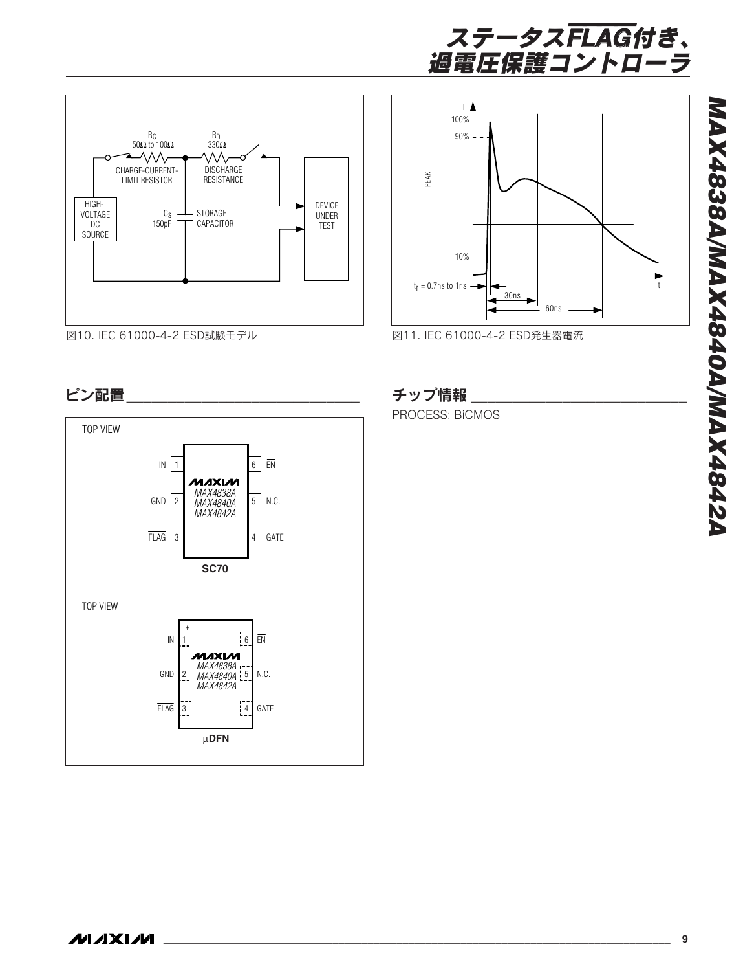



図10. IEC 61000-4-2 ESD試験モデル





図11. IEC 61000-4-2 ESD発生器電流

# ピン配置\_\_\_\_\_\_\_\_\_\_\_\_\_\_\_\_\_\_\_\_\_\_\_\_\_\_\_\_ チップ情報 \_\_\_\_\_\_\_\_\_\_\_\_\_\_\_\_\_\_\_\_\_\_\_\_\_\_

PROCESS: BiCMOS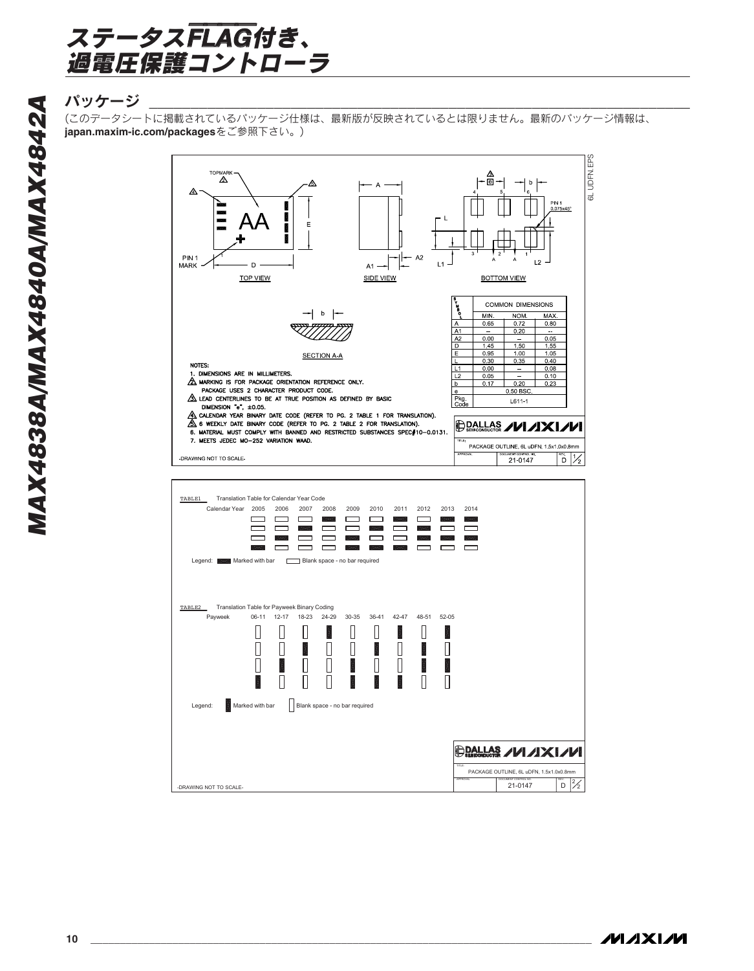

# パッケージ \_\_\_\_\_\_\_\_\_\_\_\_\_\_\_\_\_\_\_\_\_\_\_\_\_\_\_\_\_\_\_\_\_\_\_\_\_\_\_\_\_\_\_\_\_\_\_\_\_\_\_\_\_\_\_\_\_\_\_\_\_\_\_\_\_

(このデータシートに掲載されているパッケージ仕様は、最新版が反映されているとは限りません。最新のパッケージ情報は、 **japan.maxim-ic.com/packages**をご参照下さい。)